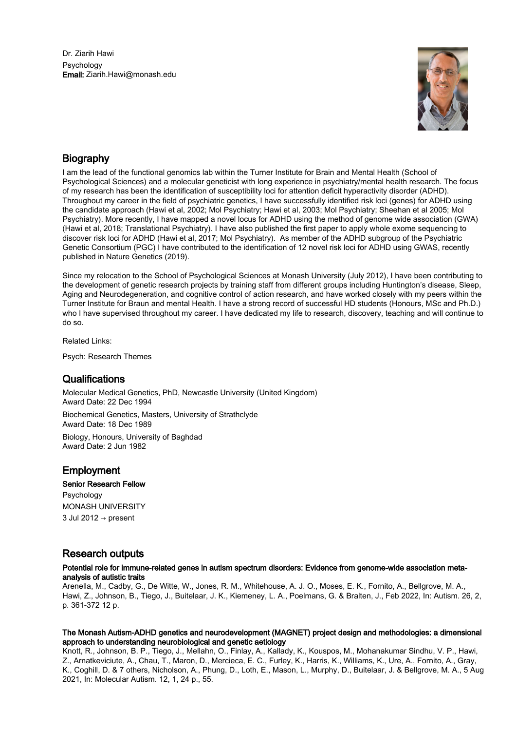Dr. Ziarih Hawi Psychology Email: Ziarih.Hawi@monash.edu



# Biography

I am the lead of the functional genomics lab within the Turner Institute for Brain and Mental Health (School of Psychological Sciences) and a molecular geneticist with long experience in psychiatry/mental health research. The focus of my research has been the identification of susceptibility loci for attention deficit hyperactivity disorder (ADHD). Throughout my career in the field of psychiatric genetics, I have successfully identified risk loci (genes) for ADHD using the candidate approach (Hawi et al, 2002; Mol Psychiatry; Hawi et al, 2003; Mol Psychiatry; Sheehan et al 2005; Mol Psychiatry). More recently, I have mapped a novel locus for ADHD using the method of genome wide association (GWA) (Hawi et al, 2018; Translational Psychiatry). I have also published the first paper to apply whole exome sequencing to discover risk loci for ADHD (Hawi et al, 2017; Mol Psychiatry). As member of the ADHD subgroup of the Psychiatric Genetic Consortium (PGC) I have contributed to the identification of 12 novel risk loci for ADHD using GWAS, recently published in Nature Genetics (2019).

Since my relocation to the School of Psychological Sciences at Monash University (July 2012), I have been contributing to the development of genetic research projects by training staff from different groups including Huntington's disease, Sleep, Aging and Neurodegeneration, and cognitive control of action research, and have worked closely with my peers within the Turner Institute for Braun and mental Health. I have a strong record of successful HD students (Honours, MSc and Ph.D.) who I have supervised throughout my career. I have dedicated my life to research, discovery, teaching and will continue to do so.

Related Links:

Psych: Research Themes

## **Qualifications**

Molecular Medical Genetics, PhD, Newcastle University (United Kingdom) Award Date: 22 Dec 1994

Biochemical Genetics, Masters, University of Strathclyde Award Date: 18 Dec 1989

Biology, Honours, University of Baghdad Award Date: 2 Jun 1982

# **Employment**

## Senior Research Fellow

Psychology MONASH UNIVERSITY 3 Jul 2012 → present

# Research outputs

## Potential role for immune-related genes in autism spectrum disorders: Evidence from genome-wide association metaanalysis of autistic traits

Arenella, M., Cadby, G., De Witte, W., Jones, R. M., Whitehouse, A. J. O., Moses, E. K., Fornito, A., Bellgrove, M. A., Hawi, Z., Johnson, B., Tiego, J., Buitelaar, J. K., Kiemeney, L. A., Poelmans, G. & Bralten, J., Feb 2022, In: Autism. 26, 2, p. 361-372 12 p.

## The Monash Autism-ADHD genetics and neurodevelopment (MAGNET) project design and methodologies: a dimensional approach to understanding neurobiological and genetic aetiology

Knott, R., Johnson, B. P., Tiego, J., Mellahn, O., Finlay, A., Kallady, K., Kouspos, M., Mohanakumar Sindhu, V. P., Hawi, Z., Arnatkeviciute, A., Chau, T., Maron, D., Mercieca, E. C., Furley, K., Harris, K., Williams, K., Ure, A., Fornito, A., Gray, K., Coghill, D. & 7 others, Nicholson, A., Phung, D., Loth, E., Mason, L., Murphy, D., Buitelaar, J. & Bellgrove, M. A., 5 Aug 2021, In: Molecular Autism. 12, 1, 24 p., 55.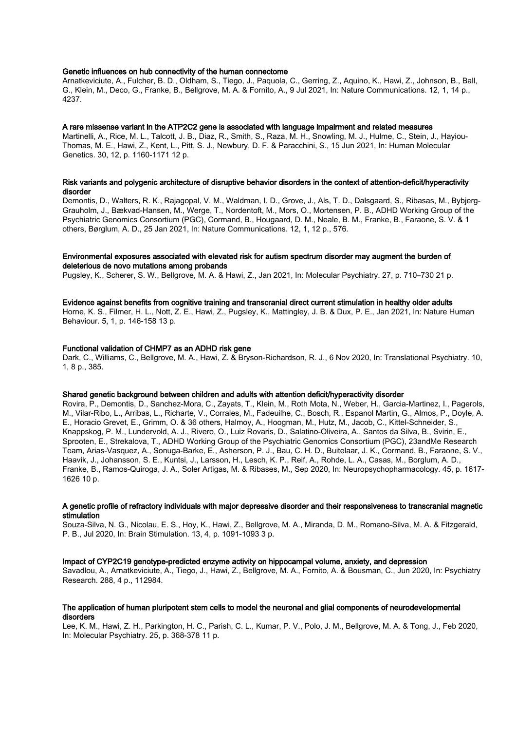## Genetic influences on hub connectivity of the human connectome

Arnatkeviciute, A., Fulcher, B. D., Oldham, S., Tiego, J., Paquola, C., Gerring, Z., Aquino, K., Hawi, Z., Johnson, B., Ball, G., Klein, M., Deco, G., Franke, B., Bellgrove, M. A. & Fornito, A., 9 Jul 2021, In: Nature Communications. 12, 1, 14 p., 4237.

#### A rare missense variant in the ATP2C2 gene is associated with language impairment and related measures

Martinelli, A., Rice, M. L., Talcott, J. B., Diaz, R., Smith, S., Raza, M. H., Snowling, M. J., Hulme, C., Stein, J., Hayiou-Thomas, M. E., Hawi, Z., Kent, L., Pitt, S. J., Newbury, D. F. & Paracchini, S., 15 Jun 2021, In: Human Molecular Genetics. 30, 12, p. 1160-1171 12 p.

## Risk variants and polygenic architecture of disruptive behavior disorders in the context of attention-deficit/hyperactivity disorder

Demontis, D., Walters, R. K., Rajagopal, V. M., Waldman, I. D., Grove, J., Als, T. D., Dalsgaard, S., Ribasas, M., Bybjerg-Grauholm, J., Bækvad-Hansen, M., Werge, T., Nordentoft, M., Mors, O., Mortensen, P. B., ADHD Working Group of the Psychiatric Genomics Consortium (PGC), Cormand, B., Hougaard, D. M., Neale, B. M., Franke, B., Faraone, S. V. & 1 others, Børglum, A. D., 25 Jan 2021, In: Nature Communications. 12, 1, 12 p., 576.

## Environmental exposures associated with elevated risk for autism spectrum disorder may augment the burden of deleterious de novo mutations among probands

Pugsley, K., Scherer, S. W., Bellgrove, M. A. & Hawi, Z., Jan 2021, In: Molecular Psychiatry. 27, p. 710–730 21 p.

## Evidence against benefits from cognitive training and transcranial direct current stimulation in healthy older adults

Horne, K. S., Filmer, H. L., Nott, Z. E., Hawi, Z., Pugsley, K., Mattingley, J. B. & Dux, P. E., Jan 2021, In: Nature Human Behaviour. 5, 1, p. 146-158 13 p.

## Functional validation of CHMP7 as an ADHD risk gene

Dark, C., Williams, C., Bellgrove, M. A., Hawi, Z. & Bryson-Richardson, R. J., 6 Nov 2020, In: Translational Psychiatry. 10, 1, 8 p., 385.

#### Shared genetic background between children and adults with attention deficit/hyperactivity disorder

Rovira, P., Demontis, D., Sanchez-Mora, C., Zayats, T., Klein, M., Roth Mota, N., Weber, H., Garcia-Martinez, I., Pagerols, M., Vilar-Ribo, L., Arribas, L., Richarte, V., Corrales, M., Fadeuilhe, C., Bosch, R., Espanol Martin, G., Almos, P., Doyle, A. E., Horacio Grevet, E., Grimm, O. & 36 others, Halmoy, A., Hoogman, M., Hutz, M., Jacob, C., Kittel-Schneider, S., Knappskog, P. M., Lundervold, A. J., Rivero, O., Luiz Rovaris, D., Salatino-Oliveira, A., Santos da Silva, B., Svirin, E., Sprooten, E., Strekalova, T., ADHD Working Group of the Psychiatric Genomics Consortium (PGC), 23andMe Research Team, Arias-Vasquez, A., Sonuga-Barke, E., Asherson, P. J., Bau, C. H. D., Buitelaar, J. K., Cormand, B., Faraone, S. V., Haavik, J., Johansson, S. E., Kuntsi, J., Larsson, H., Lesch, K. P., Reif, A., Rohde, L. A., Casas, M., Borglum, A. D., Franke, B., Ramos-Quiroga, J. A., Soler Artigas, M. & Ribases, M., Sep 2020, In: Neuropsychopharmacology. 45, p. 1617- 1626 10 p.

#### A genetic profile of refractory individuals with major depressive disorder and their responsiveness to transcranial magnetic stimulation

Souza-Silva, N. G., Nicolau, E. S., Hoy, K., Hawi, Z., Bellgrove, M. A., Miranda, D. M., Romano-Silva, M. A. & Fitzgerald, P. B., Jul 2020, In: Brain Stimulation. 13, 4, p. 1091-1093 3 p.

## Impact of CYP2C19 genotype-predicted enzyme activity on hippocampal volume, anxiety, and depression

Savadlou, A., Arnatkeviciute, A., Tiego, J., Hawi, Z., Bellgrove, M. A., Fornito, A. & Bousman, C., Jun 2020, In: Psychiatry Research. 288, 4 p., 112984.

## The application of human pluripotent stem cells to model the neuronal and glial components of neurodevelopmental disorders

Lee, K. M., Hawi, Z. H., Parkington, H. C., Parish, C. L., Kumar, P. V., Polo, J. M., Bellgrove, M. A. & Tong, J., Feb 2020, In: Molecular Psychiatry. 25, p. 368-378 11 p.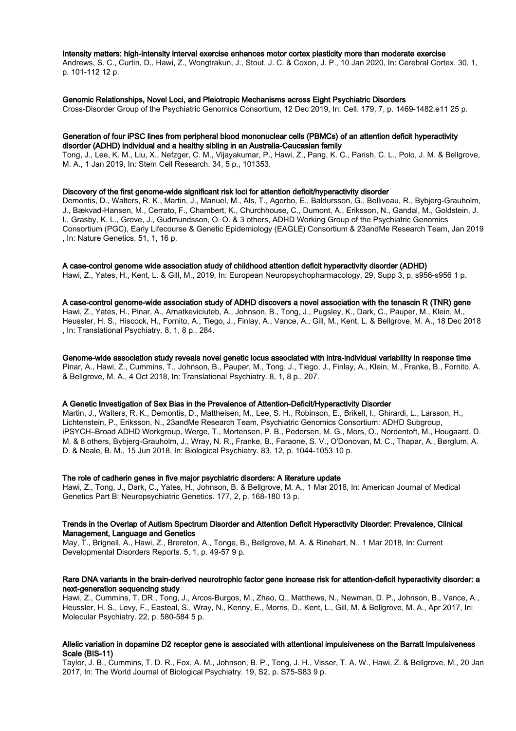## Intensity matters: high-intensity interval exercise enhances motor cortex plasticity more than moderate exercise

Andrews, S. C., Curtin, D., Hawi, Z., Wongtrakun, J., Stout, J. C. & Coxon, J. P., 10 Jan 2020, In: Cerebral Cortex. 30, 1, p. 101-112 12 p.

#### Genomic Relationships, Novel Loci, and Pleiotropic Mechanisms across Eight Psychiatric Disorders

Cross-Disorder Group of the Psychiatric Genomics Consortium, 12 Dec 2019, In: Cell. 179, 7, p. 1469-1482.e11 25 p.

### Generation of four iPSC lines from peripheral blood mononuclear cells (PBMCs) of an attention deficit hyperactivity disorder (ADHD) individual and a healthy sibling in an Australia-Caucasian family

Tong, J., Lee, K. M., Liu, X., Nefzger, C. M., Vijayakumar, P., Hawi, Z., Pang, K. C., Parish, C. L., Polo, J. M. & Bellgrove, M. A., 1 Jan 2019, In: Stem Cell Research. 34, 5 p., 101353.

#### Discovery of the first genome-wide significant risk loci for attention deficit/hyperactivity disorder

Demontis, D., Walters, R. K., Martin, J., Manuel, M., Als, T., Agerbo, E., Baldursson, G., Belliveau, R., Bybjerg-Grauholm, J., Bækvad-Hansen, M., Cerrato, F., Chambert, K., Churchhouse, C., Dumont, A., Eriksson, N., Gandal, M., Goldstein, J. I., Grasby, K. L., Grove, J., Gudmundsson, O. O. & 3 others, ADHD Working Group of the Psychiatric Genomics Consortium (PGC), Early Lifecourse & Genetic Epidemiology (EAGLE) Consortium & 23andMe Research Team, Jan 2019 , In: Nature Genetics. 51, 1, 16 p.

#### A case-control genome wide association study of childhood attention deficit hyperactivity disorder (ADHD)

Hawi, Z., Yates, H., Kent, L. & Gill, M., 2019, In: European Neuropsychopharmacology. 29, Supp 3, p. s956-s956 1 p.

## A case-control genome-wide association study of ADHD discovers a novel association with the tenascin R (TNR) gene

Hawi, Z., Yates, H., Pinar, A., Arnatkeviciuteb, A., Johnson, B., Tong, J., Pugsley, K., Dark, C., Pauper, M., Klein, M., Heussler, H. S., Hiscock, H., Fornito, A., Tiego, J., Finlay, A., Vance, A., Gill, M., Kent, L. & Bellgrove, M. A., 18 Dec 2018 , In: Translational Psychiatry. 8, 1, 8 p., 284.

## Genome-wide association study reveals novel genetic locus associated with intra-individual variability in response time Pinar, A., Hawi, Z., Cummins, T., Johnson, B., Pauper, M., Tong, J., Tiego, J., Finlay, A., Klein, M., Franke, B., Fornito, A. & Bellgrove, M. A., 4 Oct 2018, In: Translational Psychiatry. 8, 1, 8 p., 207.

## A Genetic Investigation of Sex Bias in the Prevalence of Attention-Deficit/Hyperactivity Disorder

Martin, J., Walters, R. K., Demontis, D., Mattheisen, M., Lee, S. H., Robinson, E., Brikell, I., Ghirardi, L., Larsson, H., Lichtenstein, P., Eriksson, N., 23andMe Research Team, Psychiatric Genomics Consortium: ADHD Subgroup, iPSYCH–Broad ADHD Workgroup, Werge, T., Mortensen, P. B., Pedersen, M. G., Mors, O., Nordentoft, M., Hougaard, D. M. & 8 others, Bybjerg-Grauholm, J., Wray, N. R., Franke, B., Faraone, S. V., O'Donovan, M. C., Thapar, A., Børglum, A. D. & Neale, B. M., 15 Jun 2018, In: Biological Psychiatry. 83, 12, p. 1044-1053 10 p.

## The role of cadherin genes in five major psychiatric disorders: A literature update

Hawi, Z., Tong, J., Dark, C., Yates, H., Johnson, B. & Bellgrove, M. A., 1 Mar 2018, In: American Journal of Medical Genetics Part B: Neuropsychiatric Genetics. 177, 2, p. 168-180 13 p.

## Trends in the Overlap of Autism Spectrum Disorder and Attention Deficit Hyperactivity Disorder: Prevalence, Clinical Management, Language and Genetics

May, T., Brignell, A., Hawi, Z., Brereton, A., Tonge, B., Bellgrove, M. A. & Rinehart, N., 1 Mar 2018, In: Current Developmental Disorders Reports. 5, 1, p. 49-57 9 p.

#### Rare DNA variants in the brain-derived neurotrophic factor gene increase risk for attention-deficit hyperactivity disorder: a next-generation sequencing study

Hawi, Z., Cummins, T. DR., Tong, J., Arcos-Burgos, M., Zhao, Q., Matthews, N., Newman, D. P., Johnson, B., Vance, A., Heussler, H. S., Levy, F., Easteal, S., Wray, N., Kenny, E., Morris, D., Kent, L., Gill, M. & Bellgrove, M. A., Apr 2017, In: Molecular Psychiatry. 22, p. 580-584 5 p.

## Allelic variation in dopamine D2 receptor gene is associated with attentional impulsiveness on the Barratt Impulsiveness Scale (BIS-11)

Taylor, J. B., Cummins, T. D. R., Fox, A. M., Johnson, B. P., Tong, J. H., Visser, T. A. W., Hawi, Z. & Bellgrove, M., 20 Jan 2017, In: The World Journal of Biological Psychiatry. 19, S2, p. S75-S83 9 p.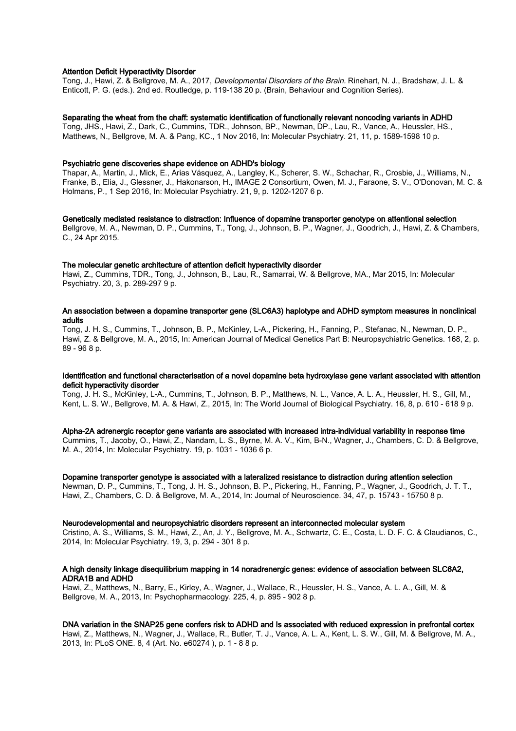## Attention Deficit Hyperactivity Disorder

Tong, J., Hawi, Z. & Bellgrove, M. A., 2017, Developmental Disorders of the Brain. Rinehart, N. J., Bradshaw, J. L. & Enticott, P. G. (eds.). 2nd ed. Routledge, p. 119-138 20 p. (Brain, Behaviour and Cognition Series).

## Separating the wheat from the chaff: systematic identification of functionally relevant noncoding variants in ADHD

Tong, JHS., Hawi, Z., Dark, C., Cummins, TDR., Johnson, BP., Newman, DP., Lau, R., Vance, A., Heussler, HS., Matthews, N., Bellgrove, M. A. & Pang, KC., 1 Nov 2016, In: Molecular Psychiatry. 21, 11, p. 1589-1598 10 p.

## Psychiatric gene discoveries shape evidence on ADHD's biology

Thapar, A., Martin, J., Mick, E., Arias Vásquez, A., Langley, K., Scherer, S. W., Schachar, R., Crosbie, J., Williams, N., Franke, B., Elia, J., Glessner, J., Hakonarson, H., IMAGE 2 Consortium, Owen, M. J., Faraone, S. V., O'Donovan, M. C. & Holmans, P., 1 Sep 2016, In: Molecular Psychiatry. 21, 9, p. 1202-1207 6 p.

## Genetically mediated resistance to distraction: Influence of dopamine transporter genotype on attentional selection

Bellgrove, M. A., Newman, D. P., Cummins, T., Tong, J., Johnson, B. P., Wagner, J., Goodrich, J., Hawi, Z. & Chambers, C., 24 Apr 2015.

## The molecular genetic architecture of attention deficit hyperactivity disorder

Hawi, Z., Cummins, TDR., Tong, J., Johnson, B., Lau, R., Samarrai, W. & Bellgrove, MA., Mar 2015, In: Molecular Psychiatry. 20, 3, p. 289-297 9 p.

## An association between a dopamine transporter gene (SLC6A3) haplotype and ADHD symptom measures in nonclinical adults

Tong, J. H. S., Cummins, T., Johnson, B. P., McKinley, L-A., Pickering, H., Fanning, P., Stefanac, N., Newman, D. P., Hawi, Z. & Bellgrove, M. A., 2015, In: American Journal of Medical Genetics Part B: Neuropsychiatric Genetics. 168, 2, p. 89 - 96 8 p.

## Identification and functional characterisation of a novel dopamine beta hydroxylase gene variant associated with attention deficit hyperactivity disorder

Tong, J. H. S., McKinley, L-A., Cummins, T., Johnson, B. P., Matthews, N. L., Vance, A. L. A., Heussler, H. S., Gill, M., Kent, L. S. W., Bellgrove, M. A. & Hawi, Z., 2015, In: The World Journal of Biological Psychiatry. 16, 8, p. 610 - 618 9 p.

#### Alpha-2A adrenergic receptor gene variants are associated with increased intra-individual variability in response time

Cummins, T., Jacoby, O., Hawi, Z., Nandam, L. S., Byrne, M. A. V., Kim, B-N., Wagner, J., Chambers, C. D. & Bellgrove, M. A., 2014, In: Molecular Psychiatry. 19, p. 1031 - 1036 6 p.

## Dopamine transporter genotype is associated with a lateralized resistance to distraction during attention selection

Newman, D. P., Cummins, T., Tong, J. H. S., Johnson, B. P., Pickering, H., Fanning, P., Wagner, J., Goodrich, J. T. T., Hawi, Z., Chambers, C. D. & Bellgrove, M. A., 2014, In: Journal of Neuroscience. 34, 47, p. 15743 - 15750 8 p.

#### Neurodevelopmental and neuropsychiatric disorders represent an interconnected molecular system

Cristino, A. S., Williams, S. M., Hawi, Z., An, J. Y., Bellgrove, M. A., Schwartz, C. E., Costa, L. D. F. C. & Claudianos, C., 2014, In: Molecular Psychiatry. 19, 3, p. 294 - 301 8 p.

## A high density linkage disequilibrium mapping in 14 noradrenergic genes: evidence of association between SLC6A2, ADRA1B and ADHD

Hawi, Z., Matthews, N., Barry, E., Kirley, A., Wagner, J., Wallace, R., Heussler, H. S., Vance, A. L. A., Gill, M. & Bellgrove, M. A., 2013, In: Psychopharmacology. 225, 4, p. 895 - 902 8 p.

## DNA variation in the SNAP25 gene confers risk to ADHD and Is associated with reduced expression in prefrontal cortex

Hawi, Z., Matthews, N., Wagner, J., Wallace, R., Butler, T. J., Vance, A. L. A., Kent, L. S. W., Gill, M. & Bellgrove, M. A., 2013, In: PLoS ONE. 8, 4 (Art. No. e60274 ), p. 1 - 8 8 p.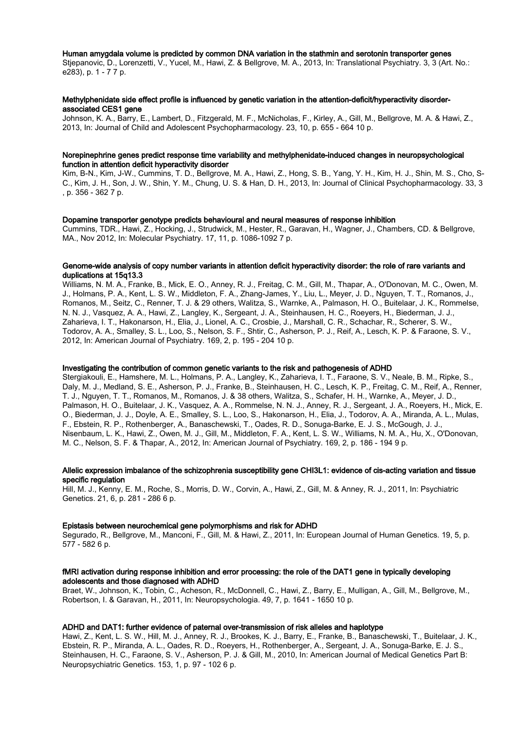## Human amygdala volume is predicted by common DNA variation in the stathmin and serotonin transporter genes

Stjepanovic, D., Lorenzetti, V., Yucel, M., Hawi, Z. & Bellgrove, M. A., 2013, In: Translational Psychiatry. 3, 3 (Art. No.: e283), p. 1 - 7 7 p.

## Methylphenidate side effect profile is influenced by genetic variation in the attention-deficit/hyperactivity disorderassociated CES1 gene

Johnson, K. A., Barry, E., Lambert, D., Fitzgerald, M. F., McNicholas, F., Kirley, A., Gill, M., Bellgrove, M. A. & Hawi, Z., 2013, In: Journal of Child and Adolescent Psychopharmacology. 23, 10, p. 655 - 664 10 p.

## Norepinephrine genes predict response time variability and methylphenidate-induced changes in neuropsychological function in attention deficit hyperactivity disorder

Kim, B-N., Kim, J-W., Cummins, T. D., Bellgrove, M. A., Hawi, Z., Hong, S. B., Yang, Y. H., Kim, H. J., Shin, M. S., Cho, S-C., Kim, J. H., Son, J. W., Shin, Y. M., Chung, U. S. & Han, D. H., 2013, In: Journal of Clinical Psychopharmacology. 33, 3 , p. 356 - 362 7 p.

#### Dopamine transporter genotype predicts behavioural and neural measures of response inhibition

Cummins, TDR., Hawi, Z., Hocking, J., Strudwick, M., Hester, R., Garavan, H., Wagner, J., Chambers, CD. & Bellgrove, MA., Nov 2012, In: Molecular Psychiatry. 17, 11, p. 1086-1092 7 p.

## Genome-wide analysis of copy number variants in attention deficit hyperactivity disorder: the role of rare variants and duplications at 15q13.3

Williams, N. M. A., Franke, B., Mick, E. O., Anney, R. J., Freitag, C. M., Gill, M., Thapar, A., O'Donovan, M. C., Owen, M. J., Holmans, P. A., Kent, L. S. W., Middleton, F. A., Zhang-James, Y., Liu, L., Meyer, J. D., Nguyen, T. T., Romanos, J., Romanos, M., Seitz, C., Renner, T. J. & 29 others, Walitza, S., Warnke, A., Palmason, H. O., Buitelaar, J. K., Rommelse, N. N. J., Vasquez, A. A., Hawi, Z., Langley, K., Sergeant, J. A., Steinhausen, H. C., Roeyers, H., Biederman, J. J., Zaharieva, I. T., Hakonarson, H., Elia, J., Lionel, A. C., Crosbie, J., Marshall, C. R., Schachar, R., Scherer, S. W., Todorov, A. A., Smalley, S. L., Loo, S., Nelson, S. F., Shtir, C., Asherson, P. J., Reif, A., Lesch, K. P. & Faraone, S. V., 2012, In: American Journal of Psychiatry. 169, 2, p. 195 - 204 10 p.

## Investigating the contribution of common genetic variants to the risk and pathogenesis of ADHD

Stergiakouli, E., Hamshere, M. L., Holmans, P. A., Langley, K., Zaharieva, I. T., Faraone, S. V., Neale, B. M., Ripke, S., Daly, M. J., Medland, S. E., Asherson, P. J., Franke, B., Steinhausen, H. C., Lesch, K. P., Freitag, C. M., Reif, A., Renner, T. J., Nguyen, T. T., Romanos, M., Romanos, J. & 38 others, Walitza, S., Schafer, H. H., Warnke, A., Meyer, J. D., Palmason, H. O., Buitelaar, J. K., Vasquez, A. A., Rommelse, N. N. J., Anney, R. J., Sergeant, J. A., Roeyers, H., Mick, E. O., Biederman, J. J., Doyle, A. E., Smalley, S. L., Loo, S., Hakonarson, H., Elia, J., Todorov, A. A., Miranda, A. L., Mulas, F., Ebstein, R. P., Rothenberger, A., Banaschewski, T., Oades, R. D., Sonuga-Barke, E. J. S., McGough, J. J., Nisenbaum, L. K., Hawi, Z., Owen, M. J., Gill, M., Middleton, F. A., Kent, L. S. W., Williams, N. M. A., Hu, X., O'Donovan, M. C., Nelson, S. F. & Thapar, A., 2012, In: American Journal of Psychiatry. 169, 2, p. 186 - 194 9 p.

## Allelic expression imbalance of the schizophrenia susceptibility gene CHI3L1: evidence of cis-acting variation and tissue specific regulation

Hill, M. J., Kenny, E. M., Roche, S., Morris, D. W., Corvin, A., Hawi, Z., Gill, M. & Anney, R. J., 2011, In: Psychiatric Genetics. 21, 6, p. 281 - 286 6 p.

#### Epistasis between neurochemical gene polymorphisms and risk for ADHD

Segurado, R., Bellgrove, M., Manconi, F., Gill, M. & Hawi, Z., 2011, In: European Journal of Human Genetics. 19, 5, p. 577 - 582 6 p.

## fMRI activation during response inhibition and error processing: the role of the DAT1 gene in typically developing adolescents and those diagnosed with ADHD

Braet, W., Johnson, K., Tobin, C., Acheson, R., McDonnell, C., Hawi, Z., Barry, E., Mulligan, A., Gill, M., Bellgrove, M., Robertson, I. & Garavan, H., 2011, In: Neuropsychologia. 49, 7, p. 1641 - 1650 10 p.

## ADHD and DAT1: further evidence of paternal over-transmission of risk alleles and haplotype

Hawi, Z., Kent, L. S. W., Hill, M. J., Anney, R. J., Brookes, K. J., Barry, E., Franke, B., Banaschewski, T., Buitelaar, J. K., Ebstein, R. P., Miranda, A. L., Oades, R. D., Roeyers, H., Rothenberger, A., Sergeant, J. A., Sonuga-Barke, E. J. S., Steinhausen, H. C., Faraone, S. V., Asherson, P. J. & Gill, M., 2010, In: American Journal of Medical Genetics Part B: Neuropsychiatric Genetics. 153, 1, p. 97 - 102 6 p.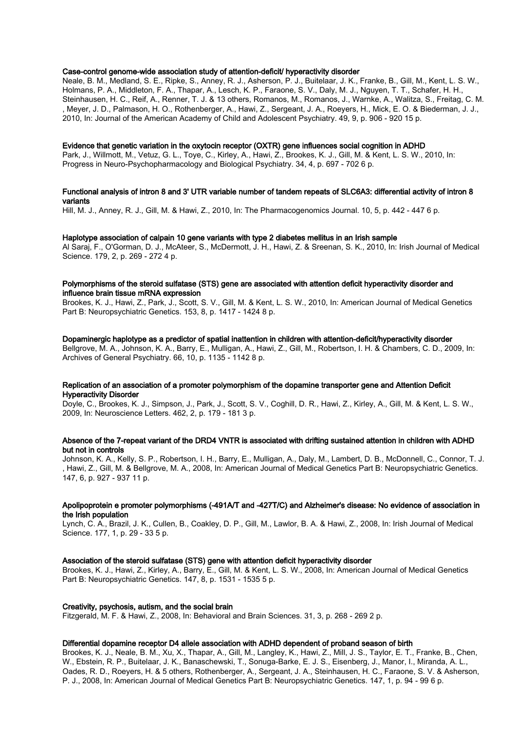## Case-control genome-wide association study of attention-deficit/ hyperactivity disorder

Neale, B. M., Medland, S. E., Ripke, S., Anney, R. J., Asherson, P. J., Buitelaar, J. K., Franke, B., Gill, M., Kent, L. S. W., Holmans, P. A., Middleton, F. A., Thapar, A., Lesch, K. P., Faraone, S. V., Daly, M. J., Nguyen, T. T., Schafer, H. H., Steinhausen, H. C., Reif, A., Renner, T. J. & 13 others, Romanos, M., Romanos, J., Warnke, A., Walitza, S., Freitag, C. M. , Meyer, J. D., Palmason, H. O., Rothenberger, A., Hawi, Z., Sergeant, J. A., Roeyers, H., Mick, E. O. & Biederman, J. J., 2010, In: Journal of the American Academy of Child and Adolescent Psychiatry. 49, 9, p. 906 - 920 15 p.

#### Evidence that genetic variation in the oxytocin receptor (OXTR) gene influences social cognition in ADHD

Park, J., Willmott, M., Vetuz, G. L., Toye, C., Kirley, A., Hawi, Z., Brookes, K. J., Gill, M. & Kent, L. S. W., 2010, In: Progress in Neuro-Psychopharmacology and Biological Psychiatry. 34, 4, p. 697 - 702 6 p.

#### Functional analysis of intron 8 and 3' UTR variable number of tandem repeats of SLC6A3: differential activity of intron 8 variants

Hill, M. J., Anney, R. J., Gill, M. & Hawi, Z., 2010, In: The Pharmacogenomics Journal. 10, 5, p. 442 - 447 6 p.

#### Haplotype association of calpain 10 gene variants with type 2 diabetes mellitus in an Irish sample

Al Saraj, F., O'Gorman, D. J., McAteer, S., McDermott, J. H., Hawi, Z. & Sreenan, S. K., 2010, In: Irish Journal of Medical Science. 179, 2, p. 269 - 272 4 p.

## Polymorphisms of the steroid sulfatase (STS) gene are associated with attention deficit hyperactivity disorder and influence brain tissue mRNA expression

Brookes, K. J., Hawi, Z., Park, J., Scott, S. V., Gill, M. & Kent, L. S. W., 2010, In: American Journal of Medical Genetics Part B: Neuropsychiatric Genetics. 153, 8, p. 1417 - 1424 8 p.

#### Dopaminergic haplotype as a predictor of spatial inattention in children with attention-deficit/hyperactivity disorder

Bellgrove, M. A., Johnson, K. A., Barry, E., Mulligan, A., Hawi, Z., Gill, M., Robertson, I. H. & Chambers, C. D., 2009, In: Archives of General Psychiatry. 66, 10, p. 1135 - 1142 8 p.

## Replication of an association of a promoter polymorphism of the dopamine transporter gene and Attention Deficit Hyperactivity Disorder

Doyle, C., Brookes, K. J., Simpson, J., Park, J., Scott, S. V., Coghill, D. R., Hawi, Z., Kirley, A., Gill, M. & Kent, L. S. W., 2009, In: Neuroscience Letters. 462, 2, p. 179 - 181 3 p.

## Absence of the 7-repeat variant of the DRD4 VNTR is associated with drifting sustained attention in children with ADHD but not in controls

Johnson, K. A., Kelly, S. P., Robertson, I. H., Barry, E., Mulligan, A., Daly, M., Lambert, D. B., McDonnell, C., Connor, T. J. , Hawi, Z., Gill, M. & Bellgrove, M. A., 2008, In: American Journal of Medical Genetics Part B: Neuropsychiatric Genetics. 147, 6, p. 927 - 937 11 p.

## Apolipoprotein e promoter polymorphisms (-491A/T and -427T/C) and Alzheimer's disease: No evidence of association in the Irish population

Lynch, C. A., Brazil, J. K., Cullen, B., Coakley, D. P., Gill, M., Lawlor, B. A. & Hawi, Z., 2008, In: Irish Journal of Medical Science. 177, 1, p. 29 - 33 5 p.

#### Association of the steroid sulfatase (STS) gene with attention deficit hyperactivity disorder

Brookes, K. J., Hawi, Z., Kirley, A., Barry, E., Gill, M. & Kent, L. S. W., 2008, In: American Journal of Medical Genetics Part B: Neuropsychiatric Genetics. 147, 8, p. 1531 - 1535 5 p.

#### Creativity, psychosis, autism, and the social brain

Fitzgerald, M. F. & Hawi, Z., 2008, In: Behavioral and Brain Sciences. 31, 3, p. 268 - 269 2 p.

#### Differential dopamine receptor D4 allele association with ADHD dependent of proband season of birth

Brookes, K. J., Neale, B. M., Xu, X., Thapar, A., Gill, M., Langley, K., Hawi, Z., Mill, J. S., Taylor, E. T., Franke, B., Chen, W., Ebstein, R. P., Buitelaar, J. K., Banaschewski, T., Sonuga-Barke, E. J. S., Eisenberg, J., Manor, I., Miranda, A. L., Oades, R. D., Roeyers, H. & 5 others, Rothenberger, A., Sergeant, J. A., Steinhausen, H. C., Faraone, S. V. & Asherson, P. J., 2008, In: American Journal of Medical Genetics Part B: Neuropsychiatric Genetics. 147, 1, p. 94 - 99 6 p.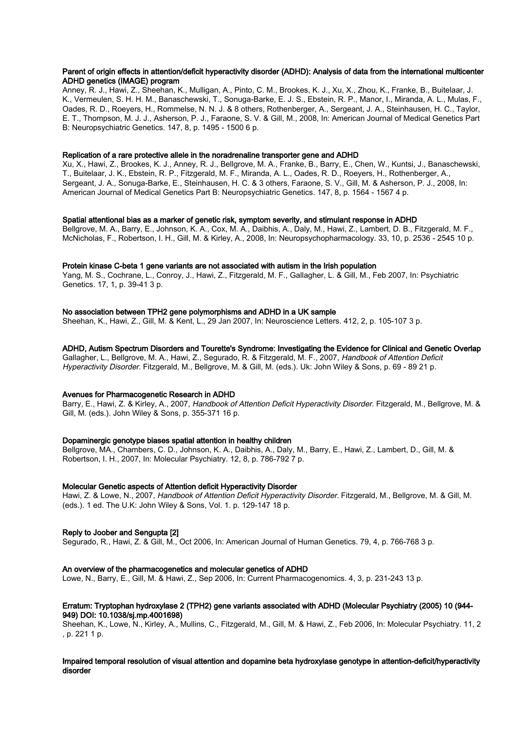## Parent of origin effects in attention/deficit hyperactivity disorder (ADHD): Analysis of data from the international multicenter ADHD genetics (IMAGE) program

Anney, R. J., Hawi, Z., Sheehan, K., Mulligan, A., Pinto, C. M., Brookes, K. J., Xu, X., Zhou, K., Franke, B., Buitelaar, J. K., Vermeulen, S. H. H. M., Banaschewski, T., Sonuga-Barke, E. J. S., Ebstein, R. P., Manor, I., Miranda, A. L., Mulas, F., Oades, R. D., Roeyers, H., Rommelse, N. N. J. & 8 others, Rothenberger, A., Sergeant, J. A., Steinhausen, H. C., Taylor, E. T., Thompson, M. J. J., Asherson, P. J., Faraone, S. V. & Gill, M., 2008, In: American Journal of Medical Genetics Part B: Neuropsychiatric Genetics. 147, 8, p. 1495 - 1500 6 p.

## Replication of a rare protective allele in the noradrenaline transporter gene and ADHD

Xu, X., Hawi, Z., Brookes, K. J., Anney, R. J., Bellgrove, M. A., Franke, B., Barry, E., Chen, W., Kuntsi, J., Banaschewski, T., Buitelaar, J. K., Ebstein, R. P., Fitzgerald, M. F., Miranda, A. L., Oades, R. D., Roeyers, H., Rothenberger, A., Sergeant, J. A., Sonuga-Barke, E., Steinhausen, H. C. & 3 others, Faraone, S. V., Gill, M. & Asherson, P. J., 2008, In: American Journal of Medical Genetics Part B: Neuropsychiatric Genetics. 147, 8, p. 1564 - 1567 4 p.

## Spatial attentional bias as a marker of genetic risk, symptom severity, and stimulant response in ADHD

Bellgrove, M. A., Barry, E., Johnson, K. A., Cox, M. A., Daibhis, A., Daly, M., Hawi, Z., Lambert, D. B., Fitzgerald, M. F., McNicholas, F., Robertson, I. H., Gill, M. & Kirley, A., 2008, In: Neuropsychopharmacology. 33, 10, p. 2536 - 2545 10 p.

## Protein kinase C-beta 1 gene variants are not associated with autism in the Irish population

Yang, M. S., Cochrane, L., Conroy, J., Hawi, Z., Fitzgerald, M. F., Gallagher, L. & Gill, M., Feb 2007, In: Psychiatric Genetics. 17, 1, p. 39-41 3 p.

## No association between TPH2 gene polymorphisms and ADHD in a UK sample

Sheehan, K., Hawi, Z., Gill, M. & Kent, L., 29 Jan 2007, In: Neuroscience Letters. 412, 2, p. 105-107 3 p.

## ADHD, Autism Spectrum Disorders and Tourette's Syndrome: Investigating the Evidence for Clinical and Genetic Overlap

Gallagher, L., Bellgrove, M. A., Hawi, Z., Segurado, R. & Fitzgerald, M. F., 2007, Handbook of Attention Deficit Hyperactivity Disorder. Fitzgerald, M., Bellgrove, M. & Gill, M. (eds.). Uk: John Wiley & Sons, p. 69 - 89 21 p.

## Avenues for Pharmacogenetic Research in ADHD

Barry, E., Hawi, Z. & Kirley, A., 2007, Handbook of Attention Deficit Hyperactivity Disorder. Fitzgerald, M., Bellgrove, M. & Gill, M. (eds.). John Wiley & Sons, p. 355-371 16 p.

## Dopaminergic genotype biases spatial attention in healthy children

Bellgrove, MA., Chambers, C. D., Johnson, K. A., Daibhis, A., Daly, M., Barry, E., Hawi, Z., Lambert, D., Gill, M. & Robertson, I. H., 2007, In: Molecular Psychiatry. 12, 8, p. 786-792 7 p.

## Molecular Genetic aspects of Attention deficit Hyperactivity Disorder

Hawi, Z. & Lowe, N., 2007, Handbook of Attention Deficit Hyperactivity Disorder. Fitzgerald, M., Bellgrove, M. & Gill, M. (eds.). 1 ed. The U.K: John Wiley & Sons, Vol. 1. p. 129-147 18 p.

## Reply to Joober and Sengupta [2]

Segurado, R., Hawi, Z. & Gill, M., Oct 2006, In: American Journal of Human Genetics. 79, 4, p. 766-768 3 p.

#### An overview of the pharmacogenetics and molecular genetics of ADHD

Lowe, N., Barry, E., Gill, M. & Hawi, Z., Sep 2006, In: Current Pharmacogenomics. 4, 3, p. 231-243 13 p.

## Erratum: Tryptophan hydroxylase 2 (TPH2) gene variants associated with ADHD (Molecular Psychiatry (2005) 10 (944- 949) DOI: 10.1038/sj.mp.4001698)

Sheehan, K., Lowe, N., Kirley, A., Mullins, C., Fitzgerald, M., Gill, M. & Hawi, Z., Feb 2006, In: Molecular Psychiatry. 11, 2 , p. 221 1 p.

## Impaired temporal resolution of visual attention and dopamine beta hydroxylase genotype in attention-deficit/hyperactivity disorder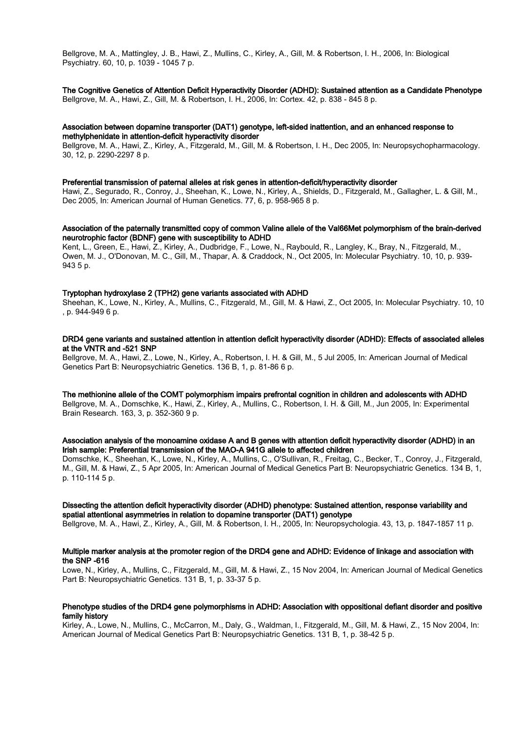Bellgrove, M. A., Mattingley, J. B., Hawi, Z., Mullins, C., Kirley, A., Gill, M. & Robertson, I. H., 2006, In: Biological Psychiatry. 60, 10, p. 1039 - 1045 7 p.

The Cognitive Genetics of Attention Deficit Hyperactivity Disorder (ADHD): Sustained attention as a Candidate Phenotype Bellgrove, M. A., Hawi, Z., Gill, M. & Robertson, I. H., 2006, In: Cortex. 42, p. 838 - 845 8 p.

## Association between dopamine transporter (DAT1) genotype, left-sided inattention, and an enhanced response to methylphenidate in attention-deficit hyperactivity disorder

Bellgrove, M. A., Hawi, Z., Kirley, A., Fitzgerald, M., Gill, M. & Robertson, I. H., Dec 2005, In: Neuropsychopharmacology. 30, 12, p. 2290-2297 8 p.

#### Preferential transmission of paternal alleles at risk genes in attention-deficit/hyperactivity disorder

Hawi, Z., Segurado, R., Conroy, J., Sheehan, K., Lowe, N., Kirley, A., Shields, D., Fitzgerald, M., Gallagher, L. & Gill, M., Dec 2005, In: American Journal of Human Genetics. 77, 6, p. 958-965 8 p.

#### Association of the paternally transmitted copy of common Valine allele of the Val66Met polymorphism of the brain-derived neurotrophic factor (BDNF) gene with susceptibility to ADHD

Kent, L., Green, E., Hawi, Z., Kirley, A., Dudbridge, F., Lowe, N., Raybould, R., Langley, K., Bray, N., Fitzgerald, M., Owen, M. J., O'Donovan, M. C., Gill, M., Thapar, A. & Craddock, N., Oct 2005, In: Molecular Psychiatry. 10, 10, p. 939- 943 5 p.

## Tryptophan hydroxylase 2 (TPH2) gene variants associated with ADHD

Sheehan, K., Lowe, N., Kirley, A., Mullins, C., Fitzgerald, M., Gill, M. & Hawi, Z., Oct 2005, In: Molecular Psychiatry. 10, 10 , p. 944-949 6 p.

## DRD4 gene variants and sustained attention in attention deficit hyperactivity disorder (ADHD): Effects of associated alleles at the VNTR and -521 SNP

Bellgrove, M. A., Hawi, Z., Lowe, N., Kirley, A., Robertson, I. H. & Gill, M., 5 Jul 2005, In: American Journal of Medical Genetics Part B: Neuropsychiatric Genetics. 136 B, 1, p. 81-86 6 p.

The methionine allele of the COMT polymorphism impairs prefrontal cognition in children and adolescents with ADHD Bellgrove, M. A., Domschke, K., Hawi, Z., Kirley, A., Mullins, C., Robertson, I. H. & Gill, M., Jun 2005, In: Experimental Brain Research. 163, 3, p. 352-360 9 p.

## Association analysis of the monoamine oxidase A and B genes with attention deficit hyperactivity disorder (ADHD) in an Irish sample: Preferential transmission of the MAO-A 941G allele to affected children

Domschke, K., Sheehan, K., Lowe, N., Kirley, A., Mullins, C., O'Sullivan, R., Freitag, C., Becker, T., Conroy, J., Fitzgerald, M., Gill, M. & Hawi, Z., 5 Apr 2005, In: American Journal of Medical Genetics Part B: Neuropsychiatric Genetics. 134 B, 1, p. 110-114 5 p.

## Dissecting the attention deficit hyperactivity disorder (ADHD) phenotype: Sustained attention, response variability and spatial attentional asymmetries in relation to dopamine transporter (DAT1) genotype

Bellgrove, M. A., Hawi, Z., Kirley, A., Gill, M. & Robertson, I. H., 2005, In: Neuropsychologia. 43, 13, p. 1847-1857 11 p.

## Multiple marker analysis at the promoter region of the DRD4 gene and ADHD: Evidence of linkage and association with the SNP -616

Lowe, N., Kirley, A., Mullins, C., Fitzgerald, M., Gill, M. & Hawi, Z., 15 Nov 2004, In: American Journal of Medical Genetics Part B: Neuropsychiatric Genetics. 131 B, 1, p. 33-37 5 p.

## Phenotype studies of the DRD4 gene polymorphisms in ADHD: Association with oppositional defiant disorder and positive family history

Kirley, A., Lowe, N., Mullins, C., McCarron, M., Daly, G., Waldman, I., Fitzgerald, M., Gill, M. & Hawi, Z., 15 Nov 2004, In: American Journal of Medical Genetics Part B: Neuropsychiatric Genetics. 131 B, 1, p. 38-42 5 p.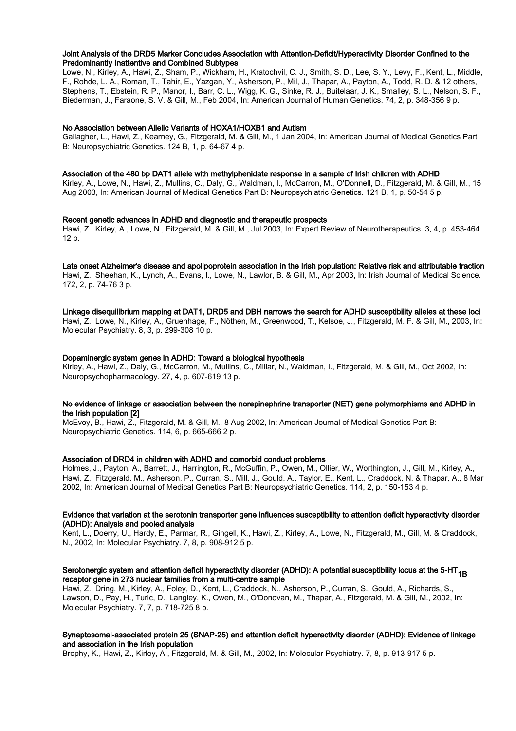## Joint Analysis of the DRD5 Marker Concludes Association with Attention-Deficit/Hyperactivity Disorder Confined to the Predominantly Inattentive and Combined Subtypes

Lowe, N., Kirley, A., Hawi, Z., Sham, P., Wickham, H., Kratochvil, C. J., Smith, S. D., Lee, S. Y., Levy, F., Kent, L., Middle, F., Rohde, L. A., Roman, T., Tahir, E., Yazgan, Y., Asherson, P., Mil, J., Thapar, A., Payton, A., Todd, R. D. & 12 others, Stephens, T., Ebstein, R. P., Manor, I., Barr, C. L., Wigg, K. G., Sinke, R. J., Buitelaar, J. K., Smalley, S. L., Nelson, S. F., Biederman, J., Faraone, S. V. & Gill, M., Feb 2004, In: American Journal of Human Genetics. 74, 2, p. 348-356 9 p.

## No Association between Allelic Variants of HOXA1/HOXB1 and Autism

Gallagher, L., Hawi, Z., Kearney, G., Fitzgerald, M. & Gill, M., 1 Jan 2004, In: American Journal of Medical Genetics Part B: Neuropsychiatric Genetics. 124 B, 1, p. 64-67 4 p.

#### Association of the 480 bp DAT1 allele with methylphenidate response in a sample of Irish children with ADHD

Kirley, A., Lowe, N., Hawi, Z., Mullins, C., Daly, G., Waldman, I., McCarron, M., O'Donnell, D., Fitzgerald, M. & Gill, M., 15 Aug 2003, In: American Journal of Medical Genetics Part B: Neuropsychiatric Genetics. 121 B, 1, p. 50-54 5 p.

## Recent genetic advances in ADHD and diagnostic and therapeutic prospects

Hawi, Z., Kirley, A., Lowe, N., Fitzgerald, M. & Gill, M., Jul 2003, In: Expert Review of Neurotherapeutics. 3, 4, p. 453-464 12 p.

Late onset Alzheimer's disease and apolipoprotein association in the Irish population: Relative risk and attributable fraction Hawi, Z., Sheehan, K., Lynch, A., Evans, I., Lowe, N., Lawlor, B. & Gill, M., Apr 2003, In: Irish Journal of Medical Science. 172, 2, p. 74-76 3 p.

#### Linkage disequilibrium mapping at DAT1, DRD5 and DBH narrows the search for ADHD susceptibility alleles at these loci

Hawi, Z., Lowe, N., Kirley, A., Gruenhage, F., Nöthen, M., Greenwood, T., Kelsoe, J., Fitzgerald, M. F. & Gill, M., 2003, In: Molecular Psychiatry. 8, 3, p. 299-308 10 p.

#### Dopaminergic system genes in ADHD: Toward a biological hypothesis

Kirley, A., Hawi, Z., Daly, G., McCarron, M., Mullins, C., Millar, N., Waldman, I., Fitzgerald, M. & Gill, M., Oct 2002, In: Neuropsychopharmacology. 27, 4, p. 607-619 13 p.

## No evidence of linkage or association between the norepinephrine transporter (NET) gene polymorphisms and ADHD in the Irish population [2]

McEvoy, B., Hawi, Z., Fitzgerald, M. & Gill, M., 8 Aug 2002, In: American Journal of Medical Genetics Part B: Neuropsychiatric Genetics. 114, 6, p. 665-666 2 p.

## Association of DRD4 in children with ADHD and comorbid conduct problems

Holmes, J., Payton, A., Barrett, J., Harrington, R., McGuffin, P., Owen, M., Ollier, W., Worthington, J., Gill, M., Kirley, A., Hawi, Z., Fitzgerald, M., Asherson, P., Curran, S., Mill, J., Gould, A., Taylor, E., Kent, L., Craddock, N. & Thapar, A., 8 Mar 2002, In: American Journal of Medical Genetics Part B: Neuropsychiatric Genetics. 114, 2, p. 150-153 4 p.

## Evidence that variation at the serotonin transporter gene influences susceptibility to attention deficit hyperactivity disorder (ADHD): Analysis and pooled analysis

Kent, L., Doerry, U., Hardy, E., Parmar, R., Gingell, K., Hawi, Z., Kirley, A., Lowe, N., Fitzgerald, M., Gill, M. & Craddock, N., 2002, In: Molecular Psychiatry. 7, 8, p. 908-912 5 p.

# Serotonergic system and attention deficit hyperactivity disorder (ADHD): A potential susceptibility locus at the 5-HT<sub>1B</sub> receptor gene in 273 nuclear families from a multi-centre sample

Hawi, Z., Dring, M., Kirley, A., Foley, D., Kent, L., Craddock, N., Asherson, P., Curran, S., Gould, A., Richards, S., Lawson, D., Pay, H., Turic, D., Langley, K., Owen, M., O'Donovan, M., Thapar, A., Fitzgerald, M. & Gill, M., 2002, In: Molecular Psychiatry. 7, 7, p. 718-725 8 p.

## Synaptosomal-associated protein 25 (SNAP-25) and attention deficit hyperactivity disorder (ADHD): Evidence of linkage and association in the Irish population

Brophy, K., Hawi, Z., Kirley, A., Fitzgerald, M. & Gill, M., 2002, In: Molecular Psychiatry. 7, 8, p. 913-917 5 p.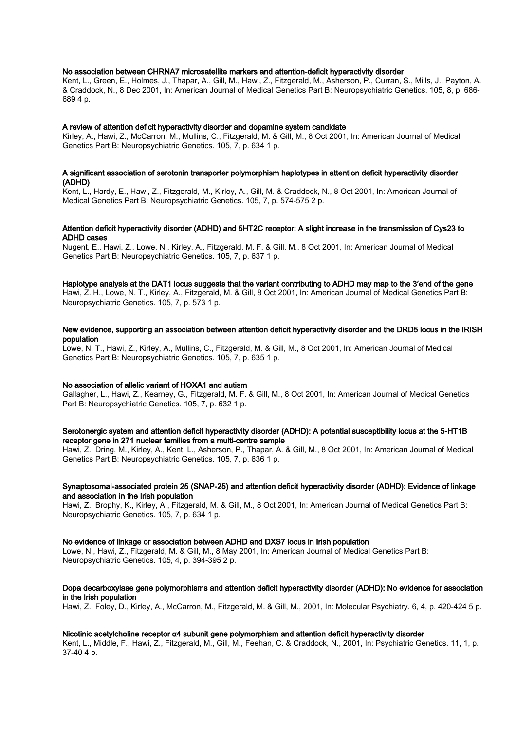## No association between CHRNA7 microsatellite markers and attention-deficit hyperactivity disorder

Kent, L., Green, E., Holmes, J., Thapar, A., Gill, M., Hawi, Z., Fitzgerald, M., Asherson, P., Curran, S., Mills, J., Payton, A. & Craddock, N., 8 Dec 2001, In: American Journal of Medical Genetics Part B: Neuropsychiatric Genetics. 105, 8, p. 686- 689 4 p.

## A review of attention deficit hyperactivity disorder and dopamine system candidate

Kirley, A., Hawi, Z., McCarron, M., Mullins, C., Fitzgerald, M. & Gill, M., 8 Oct 2001, In: American Journal of Medical Genetics Part B: Neuropsychiatric Genetics. 105, 7, p. 634 1 p.

## A significant association of serotonin transporter polymorphism haplotypes in attention deficit hyperactivity disorder (ADHD)

Kent, L., Hardy, E., Hawi, Z., Fitzgerald, M., Kirley, A., Gill, M. & Craddock, N., 8 Oct 2001, In: American Journal of Medical Genetics Part B: Neuropsychiatric Genetics. 105, 7, p. 574-575 2 p.

## Attention deficit hyperactivity disorder (ADHD) and 5HT2C receptor: A slight increase in the transmission of Cys23 to ADHD cases

Nugent, E., Hawi, Z., Lowe, N., Kirley, A., Fitzgerald, M. F. & Gill, M., 8 Oct 2001, In: American Journal of Medical Genetics Part B: Neuropsychiatric Genetics. 105, 7, p. 637 1 p.

## Haplotype analysis at the DAT1 locus suggests that the variant contributing to ADHD may map to the 3′end of the gene

Hawi, Z. H., Lowe, N. T., Kirley, A., Fitzgerald, M. & Gill, 8 Oct 2001, In: American Journal of Medical Genetics Part B: Neuropsychiatric Genetics. 105, 7, p. 573 1 p.

## New evidence, supporting an association between attention deficit hyperactivity disorder and the DRD5 locus in the IRISH population

Lowe, N. T., Hawi, Z., Kirley, A., Mullins, C., Fitzgerald, M. & Gill, M., 8 Oct 2001, In: American Journal of Medical Genetics Part B: Neuropsychiatric Genetics. 105, 7, p. 635 1 p.

#### No association of allelic variant of HOXA1 and autism

Gallagher, L., Hawi, Z., Kearney, G., Fitzgerald, M. F. & Gill, M., 8 Oct 2001, In: American Journal of Medical Genetics Part B: Neuropsychiatric Genetics. 105, 7, p. 632 1 p.

## Serotonergic system and attention deficit hyperactivity disorder (ADHD): A potential susceptibility locus at the 5-HT1B receptor gene in 271 nuclear families from a multi-centre sample

Hawi, Z., Dring, M., Kirley, A., Kent, L., Asherson, P., Thapar, A. & Gill, M., 8 Oct 2001, In: American Journal of Medical Genetics Part B: Neuropsychiatric Genetics. 105, 7, p. 636 1 p.

## Synaptosomal-associated protein 25 (SNAP-25) and attention deficit hyperactivity disorder (ADHD): Evidence of linkage and association in the Irish population

Hawi, Z., Brophy, K., Kirley, A., Fitzgerald, M. & Gill, M., 8 Oct 2001, In: American Journal of Medical Genetics Part B: Neuropsychiatric Genetics. 105, 7, p. 634 1 p.

## No evidence of linkage or association between ADHD and DXS7 locus in Irish population

Lowe, N., Hawi, Z., Fitzgerald, M. & Gill, M., 8 May 2001, In: American Journal of Medical Genetics Part B: Neuropsychiatric Genetics. 105, 4, p. 394-395 2 p.

## Dopa decarboxylase gene polymorphisms and attention deficit hyperactivity disorder (ADHD): No evidence for association in the Irish population

Hawi, Z., Foley, D., Kirley, A., McCarron, M., Fitzgerald, M. & Gill, M., 2001, In: Molecular Psychiatry. 6, 4, p. 420-424 5 p.

## Nicotinic acetylcholine receptor α4 subunit gene polymorphism and attention deficit hyperactivity disorder

Kent, L., Middle, F., Hawi, Z., Fitzgerald, M., Gill, M., Feehan, C. & Craddock, N., 2001, In: Psychiatric Genetics. 11, 1, p. 37-40 4 p.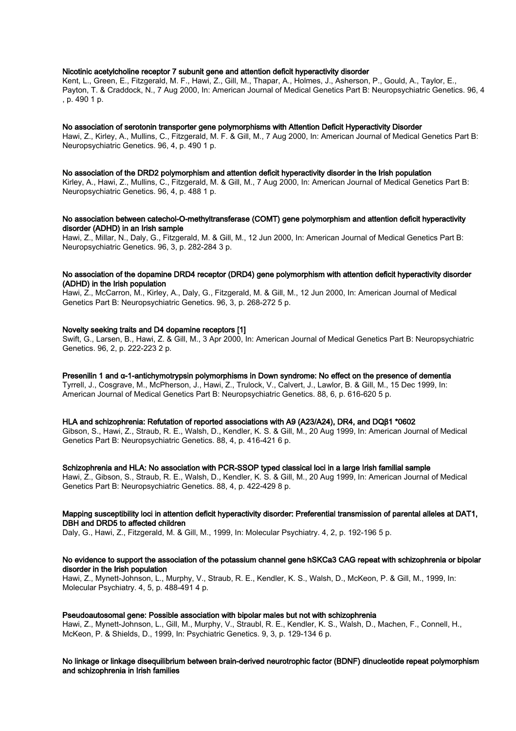## Nicotinic acetylcholine receptor 7 subunit gene and attention deficit hyperactivity disorder

Kent, L., Green, E., Fitzgerald, M. F., Hawi, Z., Gill, M., Thapar, A., Holmes, J., Asherson, P., Gould, A., Taylor, E., Payton, T. & Craddock, N., 7 Aug 2000, In: American Journal of Medical Genetics Part B: Neuropsychiatric Genetics. 96, 4 , p. 490 1 p.

#### No association of serotonin transporter gene polymorphisms with Attention Deficit Hyperactivity Disorder

Hawi, Z., Kirley, A., Mullins, C., Fitzgerald, M. F. & Gill, M., 7 Aug 2000, In: American Journal of Medical Genetics Part B: Neuropsychiatric Genetics. 96, 4, p. 490 1 p.

#### No association of the DRD2 polymorphism and attention deficit hyperactivity disorder in the Irish population

Kirley, A., Hawi, Z., Mullins, C., Fitzgerald, M. & Gill, M., 7 Aug 2000, In: American Journal of Medical Genetics Part B: Neuropsychiatric Genetics. 96, 4, p. 488 1 p.

## No association between catechol-O-methyltransferase (COMT) gene polymorphism and attention deficit hyperactivity disorder (ADHD) in an Irish sample

Hawi, Z., Millar, N., Daly, G., Fitzgerald, M. & Gill, M., 12 Jun 2000, In: American Journal of Medical Genetics Part B: Neuropsychiatric Genetics. 96, 3, p. 282-284 3 p.

## No association of the dopamine DRD4 receptor (DRD4) gene polymorphism with attention deficit hyperactivity disorder (ADHD) in the Irish population

Hawi, Z., McCarron, M., Kirley, A., Daly, G., Fitzgerald, M. & Gill, M., 12 Jun 2000, In: American Journal of Medical Genetics Part B: Neuropsychiatric Genetics. 96, 3, p. 268-272 5 p.

## Novelty seeking traits and D4 dopamine receptors [1]

Swift, G., Larsen, B., Hawi, Z. & Gill, M., 3 Apr 2000, In: American Journal of Medical Genetics Part B: Neuropsychiatric Genetics. 96, 2, p. 222-223 2 p.

Presenilin 1 and α-1-antichymotrypsin polymorphisms in Down syndrome: No effect on the presence of dementia Tyrrell, J., Cosgrave, M., McPherson, J., Hawi, Z., Trulock, V., Calvert, J., Lawlor, B. & Gill, M., 15 Dec 1999, In: American Journal of Medical Genetics Part B: Neuropsychiatric Genetics. 88, 6, p. 616-620 5 p.

## HLA and schizophrenia: Refutation of reported associations with A9 (A23/A24), DR4, and DQβ1 \*0602

Gibson, S., Hawi, Z., Straub, R. E., Walsh, D., Kendler, K. S. & Gill, M., 20 Aug 1999, In: American Journal of Medical Genetics Part B: Neuropsychiatric Genetics. 88, 4, p. 416-421 6 p.

#### Schizophrenia and HLA: No association with PCR-SSOP typed classical loci in a large Irish familial sample

Hawi, Z., Gibson, S., Straub, R. E., Walsh, D., Kendler, K. S. & Gill, M., 20 Aug 1999, In: American Journal of Medical Genetics Part B: Neuropsychiatric Genetics. 88, 4, p. 422-429 8 p.

## Mapping susceptibility loci in attention deficit hyperactivity disorder: Preferential transmission of parental alleles at DAT1, DBH and DRD5 to affected children

Daly, G., Hawi, Z., Fitzgerald, M. & Gill, M., 1999, In: Molecular Psychiatry. 4, 2, p. 192-196 5 p.

#### No evidence to support the association of the potassium channel gene hSKCa3 CAG repeat with schizophrenia or bipolar disorder in the Irish population

Hawi, Z., Mynett-Johnson, L., Murphy, V., Straub, R. E., Kendler, K. S., Walsh, D., McKeon, P. & Gill, M., 1999, In: Molecular Psychiatry. 4, 5, p. 488-491 4 p.

## Pseudoautosomal gene: Possible association with bipolar males but not with schizophrenia

Hawi, Z., Mynett-Johnson, L., Gill, M., Murphy, V., Straubl, R. E., Kendler, K. S., Walsh, D., Machen, F., Connell, H., McKeon, P. & Shields, D., 1999, In: Psychiatric Genetics. 9, 3, p. 129-134 6 p.

## No linkage or linkage disequilibrium between brain-derived neurotrophic factor (BDNF) dinucleotide repeat polymorphism and schizophrenia in Irish families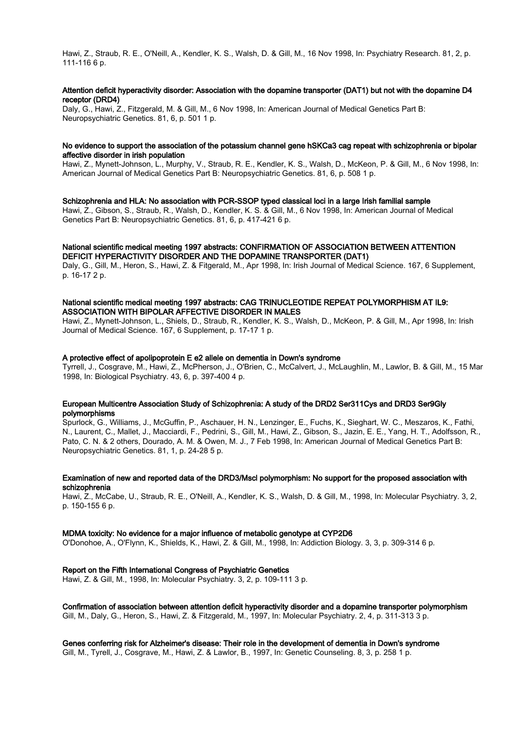Hawi, Z., Straub, R. E., O'Neill, A., Kendler, K. S., Walsh, D. & Gill, M., 16 Nov 1998, In: Psychiatry Research. 81, 2, p. 111-116 6 p.

## Attention deficit hyperactivity disorder: Association with the dopamine transporter (DAT1) but not with the dopamine D4 receptor (DRD4)

Daly, G., Hawi, Z., Fitzgerald, M. & Gill, M., 6 Nov 1998, In: American Journal of Medical Genetics Part B: Neuropsychiatric Genetics. 81, 6, p. 501 1 p.

## No evidence to support the association of the potassium channel gene hSKCa3 cag repeat with schizophrenia or bipolar affective disorder in irish population

Hawi, Z., Mynett-Johnson, L., Murphy, V., Straub, R. E., Kendler, K. S., Walsh, D., McKeon, P. & Gill, M., 6 Nov 1998, In: American Journal of Medical Genetics Part B: Neuropsychiatric Genetics. 81, 6, p. 508 1 p.

## Schizophrenia and HLA: No association with PCR-SSOP typed classical loci in a large Irish familial sample

Hawi, Z., Gibson, S., Straub, R., Walsh, D., Kendler, K. S. & Gill, M., 6 Nov 1998, In: American Journal of Medical Genetics Part B: Neuropsychiatric Genetics. 81, 6, p. 417-421 6 p.

#### National scientific medical meeting 1997 abstracts: CONFIRMATION OF ASSOCIATION BETWEEN ATTENTION DEFICIT HYPERACTIVITY DISORDER AND THE DOPAMINE TRANSPORTER (DAT1)

Daly, G., Gill, M., Heron, S., Hawi, Z. & Fitgerald, M., Apr 1998, In: Irish Journal of Medical Science. 167, 6 Supplement, p. 16-17 2 p.

## National scientific medical meeting 1997 abstracts: CAG TRINUCLEOTIDE REPEAT POLYMORPHISM AT IL9: ASSOCIATION WITH BIPOLAR AFFECTIVE DISORDER IN MALES

Hawi, Z., Mynett-Johnson, L., Shiels, D., Straub, R., Kendler, K. S., Walsh, D., McKeon, P. & Gill, M., Apr 1998, In: Irish Journal of Medical Science. 167, 6 Supplement, p. 17-17 1 p.

## A protective effect of apolipoprotein E e2 allele on dementia in Down's syndrome

Tyrrell, J., Cosgrave, M., Hawi, Z., McPherson, J., O'Brien, C., McCalvert, J., McLaughlin, M., Lawlor, B. & Gill, M., 15 Mar 1998, In: Biological Psychiatry. 43, 6, p. 397-400 4 p.

## European Multicentre Association Study of Schizophrenia: A study of the DRD2 Ser311Cys and DRD3 Ser9Gly polymorphisms

Spurlock, G., Williams, J., McGuffin, P., Aschauer, H. N., Lenzinger, E., Fuchs, K., Sieghart, W. C., Meszaros, K., Fathi, N., Laurent, C., Mallet, J., Macciardi, F., Pedrini, S., Gill, M., Hawi, Z., Gibson, S., Jazin, E. E., Yang, H. T., Adolfsson, R., Pato, C. N. & 2 others, Dourado, A. M. & Owen, M. J., 7 Feb 1998, In: American Journal of Medical Genetics Part B: Neuropsychiatric Genetics. 81, 1, p. 24-28 5 p.

## Examination of new and reported data of the DRD3/Mscl polymorphism: No support for the proposed association with schizophrenia

Hawi, Z., McCabe, U., Straub, R. E., O'Neill, A., Kendler, K. S., Walsh, D. & Gill, M., 1998, In: Molecular Psychiatry. 3, 2, p. 150-155 6 p.

## MDMA toxicity: No evidence for a major influence of metabolic genotype at CYP2D6

O'Donohoe, A., O'Flynn, K., Shields, K., Hawi, Z. & Gill, M., 1998, In: Addiction Biology. 3, 3, p. 309-314 6 p.

## Report on the Fifth International Congress of Psychiatric Genetics

Hawi, Z. & Gill, M., 1998, In: Molecular Psychiatry. 3, 2, p. 109-111 3 p.

Confirmation of association between attention deficit hyperactivity disorder and a dopamine transporter polymorphism Gill, M., Daly, G., Heron, S., Hawi, Z. & Fitzgerald, M., 1997, In: Molecular Psychiatry. 2, 4, p. 311-313 3 p.

Genes conferring risk for Alzheimer's disease: Their role in the development of dementia in Down's syndrome Gill, M., Tyrell, J., Cosgrave, M., Hawi, Z. & Lawlor, B., 1997, In: Genetic Counseling. 8, 3, p. 258 1 p.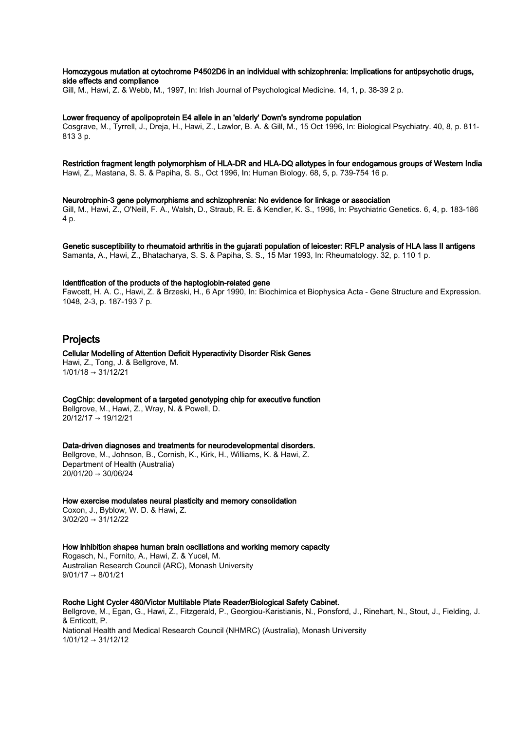## Homozygous mutation at cytochrome P4502D6 in an individual with schizophrenia: Implications for antipsychotic drugs, side effects and compliance

Gill, M., Hawi, Z. & Webb, M., 1997, In: Irish Journal of Psychological Medicine. 14, 1, p. 38-39 2 p.

#### Lower frequency of apolipoprotein E4 allele in an 'elderly' Down's syndrome population

Cosgrave, M., Tyrrell, J., Dreja, H., Hawi, Z., Lawlor, B. A. & Gill, M., 15 Oct 1996, In: Biological Psychiatry. 40, 8, p. 811- 813 3 p.

# Restriction fragment length polymorphism of HLA-DR and HLA-DQ allotypes in four endogamous groups of Western India

Hawi, Z., Mastana, S. S. & Papiha, S. S., Oct 1996, In: Human Biology. 68, 5, p. 739-754 16 p.

Neurotrophin-3 gene polymorphisms and schizophrenia: No evidence for linkage or association Gill, M., Hawi, Z., O'Neill, F. A., Walsh, D., Straub, R. E. & Kendler, K. S., 1996, In: Psychiatric Genetics. 6, 4, p. 183-186 4 p.

Genetic susceptibility to rheumatoid arthritis in the gujarati population of leicester: RFLP analysis of HLA lass II antigens Samanta, A., Hawi, Z., Bhatacharya, S. S. & Papiha, S. S., 15 Mar 1993, In: Rheumatology. 32, p. 110 1 p.

#### Identification of the products of the haptoglobin-related gene

Fawcett, H. A. C., Hawi, Z. & Brzeski, H., 6 Apr 1990, In: Biochimica et Biophysica Acta - Gene Structure and Expression. 1048, 2-3, p. 187-193 7 p.

# Projects

Cellular Modelling of Attention Deficit Hyperactivity Disorder Risk Genes Hawi, Z., Tong, J. & Bellgrove, M. 1/01/18 → 31/12/21

CogChip: development of a targeted genotyping chip for executive function Bellgrove, M., Hawi, Z., Wray, N. & Powell, D. 20/12/17 → 19/12/21

Data-driven diagnoses and treatments for neurodevelopmental disorders. Bellgrove, M., Johnson, B., Cornish, K., Kirk, H., Williams, K. & Hawi, Z. Department of Health (Australia)  $20/01/20 \rightarrow 30/06/24$ 

How exercise modulates neural plasticity and memory consolidation Coxon, J., Byblow, W. D. & Hawi, Z.  $3/02/20 \rightarrow 31/12/22$ 

How inhibition shapes human brain oscillations and working memory capacity Rogasch, N., Fornito, A., Hawi, Z. & Yucel, M. Australian Research Council (ARC), Monash University  $9/01/17 \rightarrow 8/01/21$ 

## Roche Light Cycler 480/Victor Multilable Plate Reader/Biological Safety Cabinet.

Bellgrove, M., Egan, G., Hawi, Z., Fitzgerald, P., Georgiou-Karistianis, N., Ponsford, J., Rinehart, N., Stout, J., Fielding, J. & Enticott, P. National Health and Medical Research Council (NHMRC) (Australia), Monash University 1/01/12 → 31/12/12